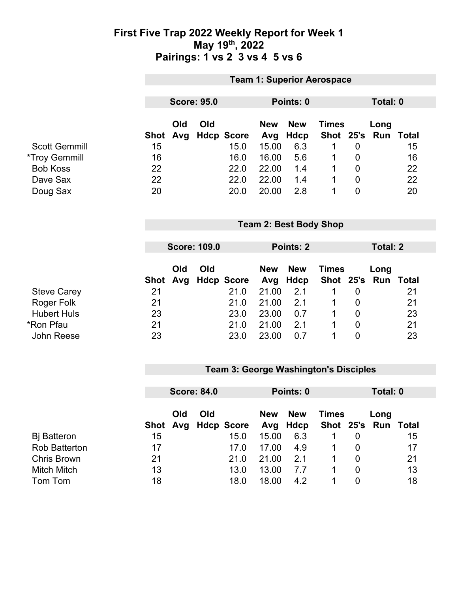### **First Five Trap 2022 Weekly Report for Week 1 May 19th, 2022 Pairings: 1 vs 2 3 vs 4 5 vs 6**

|                      | <b>Team 1: Superior Aerospace</b> |     |                    |                   |            |             |              |                 |          |              |
|----------------------|-----------------------------------|-----|--------------------|-------------------|------------|-------------|--------------|-----------------|----------|--------------|
|                      |                                   |     |                    |                   |            |             |              |                 |          |              |
|                      |                                   |     | <b>Score: 95.0</b> |                   |            | Points: 0   |              |                 | Total: 0 |              |
|                      |                                   | Old | Old                |                   | <b>New</b> | <b>New</b>  | <b>Times</b> |                 | Long     |              |
|                      | <b>Shot</b>                       | Avg |                    | <b>Hdcp Score</b> | Avg        | <b>Hdcp</b> | Shot         | 25's            | Run      | <b>Total</b> |
| <b>Scott Gemmill</b> | 15                                |     |                    | 15.0              | 15.00      | 6.3         | 1            | $\overline{0}$  |          | 15           |
| <i>*Troy Gemmill</i> | 16                                |     |                    | 16.0              | 16.00      | 5.6         | 1            | $\overline{0}$  |          | 16           |
| <b>Bob Koss</b>      | 22                                |     |                    | 22.0              | 22.00      | 1.4         | 1            | $\overline{0}$  |          | 22           |
| Dave Sax             | 22                                |     |                    | 22.0              | 22.00      | 1.4         | $\mathbf{1}$ | $\mathbf 0$     |          | 22           |
| Doug Sax             | 20                                |     |                    | 20.0              | 20.00      | 2.8         | 1            | $\mathbf 0$     |          | 20           |
|                      | <b>Team 2: Best Body Shop</b>     |     |                    |                   |            |             |              |                 |          |              |
|                      |                                   |     |                    |                   |            |             |              |                 |          |              |
|                      | <b>Score: 109.0</b>               |     |                    | Points: 2         |            |             |              | <b>Total: 2</b> |          |              |
|                      |                                   | Old | Old                |                   | <b>New</b> | <b>New</b>  | <b>Times</b> |                 | Long     |              |
|                      | <b>Shot</b>                       | Avg |                    | <b>Hdcp Score</b> | Avg        | <b>Hdcp</b> | Shot 25's    |                 | Run      | <b>Total</b> |
| <b>Steve Carey</b>   | 21                                |     |                    | 21.0              | 21.00      | 2.1         | 1            | $\mathbf 0$     |          | 21           |
| Roger Folk           | 21                                |     |                    | 21.0              | 21.00      | 2.1         | 1            | $\mathbf 0$     |          | 21           |
| <b>Hubert Huls</b>   | 23                                |     |                    | 23.0              | 23.00      | 0.7         | 1            | $\mathbf 0$     |          | 23           |
| <b>*Ron Pfau</b>     | 21                                |     |                    | 21.0              | 21.00      | 2.1         | 1            | $\mathbf 0$     |          | 21           |
|                      |                                   |     |                    |                   |            |             |              |                 |          |              |
| <b>John Reese</b>    | 23                                |     |                    | 23.0              | 23.00      | 0.7         | 1            | $\overline{0}$  |          | 23           |

## **Team 3: George Washington's Disciples**

|                      | <b>Score: 84.0</b> |     |     | Points: 0           |                   |                    | Total: 0     |   |                             |    |
|----------------------|--------------------|-----|-----|---------------------|-------------------|--------------------|--------------|---|-----------------------------|----|
|                      |                    | Old | Old | Shot Avg Hdcp Score | <b>New</b><br>Avg | <b>New</b><br>Hdcp | <b>Times</b> |   | Long<br>Shot 25's Run Total |    |
| <b>B</b> j Batteron  | 15                 |     |     | 15.0                | 15.00             | 6.3                |              |   |                             | 15 |
| <b>Rob Batterton</b> | 17                 |     |     | 17.0                | 17.00             | 4.9                |              |   |                             | 17 |
| <b>Chris Brown</b>   | 21                 |     |     | 21.0                | 21.00             | 2.1                |              | 0 |                             | 21 |
| <b>Mitch Mitch</b>   | 13                 |     |     | 13.0                | 13.00             | 7.7                |              |   |                             | 13 |
| Tom Tom              | 18                 |     |     | 18.0                | 18.00             | 4.2                |              |   |                             | 18 |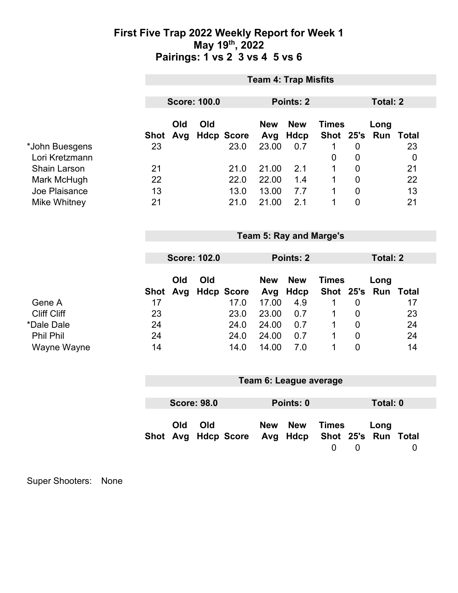## **First Five Trap 2022 Weekly Report for Week 1 May 19th, 2022 Pairings: 1 vs 2 3 vs 4 5 vs 6**

| <b>Team 4: Trap Misfits</b> |                         |            |                                        |                                                                             |                                              |                                                                      |                                                         |                                                                                                          |                                                                                                                  |  |
|-----------------------------|-------------------------|------------|----------------------------------------|-----------------------------------------------------------------------------|----------------------------------------------|----------------------------------------------------------------------|---------------------------------------------------------|----------------------------------------------------------------------------------------------------------|------------------------------------------------------------------------------------------------------------------|--|
|                             |                         |            |                                        |                                                                             |                                              |                                                                      |                                                         |                                                                                                          |                                                                                                                  |  |
|                             |                         |            |                                        |                                                                             |                                              |                                                                      |                                                         |                                                                                                          |                                                                                                                  |  |
| <b>Shot</b>                 | Old<br>Avg              | Old        |                                        | <b>New</b><br>Avg                                                           | <b>New</b><br>Hdcp                           |                                                                      |                                                         | Long                                                                                                     | Run Total                                                                                                        |  |
| 23                          |                         |            | 23.0                                   | 23.00                                                                       | 0.7                                          | 1                                                                    | $\mathbf 0$                                             |                                                                                                          | 23<br>$\boldsymbol{0}$                                                                                           |  |
| 21                          |                         |            | 21.0                                   |                                                                             | 2.1                                          | 1                                                                    |                                                         |                                                                                                          | 21                                                                                                               |  |
| 22                          |                         |            | 22.0                                   | 22.00                                                                       | 1.4                                          | 1                                                                    | $\mathbf 0$                                             |                                                                                                          | 22                                                                                                               |  |
| 13                          |                         |            | 13.0                                   | 13.00                                                                       | 7.7                                          | 1                                                                    | $\mathbf 0$                                             |                                                                                                          | 13                                                                                                               |  |
| 21                          |                         |            | 21.0                                   | 21.00                                                                       | 2.1                                          | 1                                                                    | $\overline{0}$                                          |                                                                                                          | 21                                                                                                               |  |
|                             |                         |            |                                        |                                                                             |                                              |                                                                      |                                                         |                                                                                                          |                                                                                                                  |  |
|                             |                         |            |                                        |                                                                             |                                              |                                                                      |                                                         |                                                                                                          |                                                                                                                  |  |
|                             | <b>Score: 102.0</b>     |            |                                        | Points: 2                                                                   |                                              |                                                                      |                                                         | <b>Total: 2</b>                                                                                          |                                                                                                                  |  |
|                             |                         |            |                                        |                                                                             |                                              |                                                                      |                                                         |                                                                                                          |                                                                                                                  |  |
|                             |                         |            |                                        |                                                                             |                                              |                                                                      |                                                         |                                                                                                          |                                                                                                                  |  |
|                             |                         |            |                                        |                                                                             |                                              |                                                                      |                                                         |                                                                                                          | 17                                                                                                               |  |
|                             |                         |            |                                        |                                                                             |                                              |                                                                      |                                                         |                                                                                                          | 23                                                                                                               |  |
| 24                          |                         |            | 24.0                                   |                                                                             | 0.7                                          | 1                                                                    | $\mathbf 0$                                             |                                                                                                          | 24                                                                                                               |  |
| 24                          |                         |            | 24.0                                   | 24.00                                                                       | 0.7                                          | 1                                                                    | $\mathbf 0$                                             |                                                                                                          | 24                                                                                                               |  |
| 14                          |                         |            | 14.0                                   | 14.00                                                                       | 7.0                                          | 1                                                                    | $\overline{0}$                                          |                                                                                                          | 14                                                                                                               |  |
|                             |                         |            |                                        |                                                                             |                                              |                                                                      |                                                         |                                                                                                          |                                                                                                                  |  |
| Team 6: League average      |                         |            |                                        |                                                                             |                                              |                                                                      |                                                         |                                                                                                          |                                                                                                                  |  |
|                             |                         |            |                                        |                                                                             |                                              |                                                                      |                                                         |                                                                                                          |                                                                                                                  |  |
| <b>Score: 98.0</b>          |                         |            |                                        |                                                                             | Points: 0                                    |                                                                      |                                                         |                                                                                                          |                                                                                                                  |  |
|                             | Old                     | Old        |                                        | <b>New</b>                                                                  | <b>New</b>                                   |                                                                      |                                                         |                                                                                                          |                                                                                                                  |  |
|                             |                         |            |                                        | Avg                                                                         | Hdcp                                         | $\overline{0}$                                                       | $\overline{0}$                                          |                                                                                                          | $\mathbf 0$                                                                                                      |  |
|                             | <b>Shot</b><br>17<br>23 | Old<br>Avg | <b>Score: 100.0</b><br>Old<br>Shot Avg | <b>Hdcp Score</b><br><b>Hdcp Score</b><br>17.0<br>23.0<br><b>Hdcp Score</b> | 21.00<br><b>New</b><br>Avg<br>17.00<br>23.00 | <b>Points: 2</b><br><b>New</b><br><b>Hdcp</b><br>4.9<br>0.7<br>24.00 | $\mathbf 0$<br><b>Team 5: Ray and Marge's</b><br>1<br>1 | <b>Times</b><br>$\mathbf 0$<br>$\mathbf 0$<br><b>Times</b><br>$\mathbf 0$<br>$\mathbf 0$<br><b>Times</b> | <b>Total: 2</b><br>Shot 25's<br>Long<br>Shot 25's<br>Run Total<br><b>Total: 0</b><br>Long<br>Shot 25's Run Total |  |

Super Shooters: None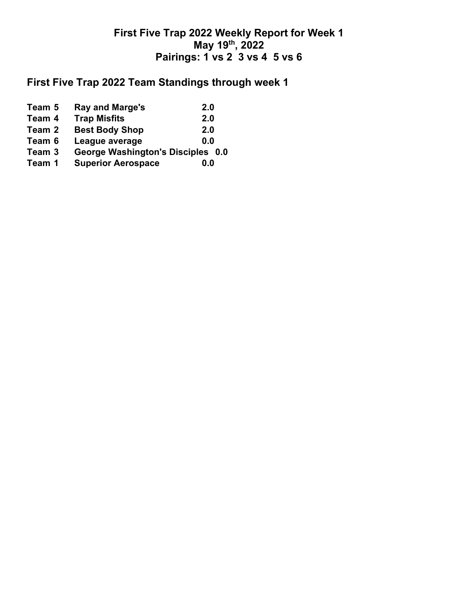# **First Five Trap 2022 Weekly Report for Week 1 May 19th, 2022 Pairings: 1 vs 2 3 vs 4 5 vs 6**

# **First Five Trap 2022 Team Standings through week 1**

| Team 5 | <b>Ray and Marge's</b>            | 2.0 |
|--------|-----------------------------------|-----|
| Team 4 | <b>Trap Misfits</b>               | 2.0 |
| Team 2 | <b>Best Body Shop</b>             | 2.0 |
| Team 6 | League average                    | 0.0 |
| Team 3 | George Washington's Disciples 0.0 |     |
| Team 1 | <b>Superior Aerospace</b>         | 0.0 |